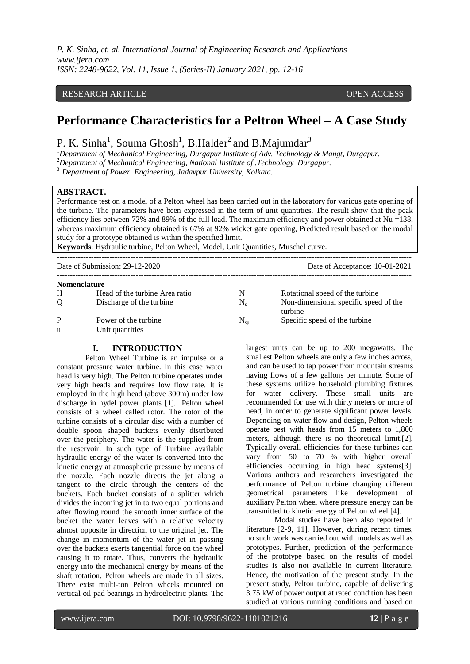*P. K. Sinha, et. al. International Journal of Engineering Research and Applications www.ijera.com ISSN: 2248-9622, Vol. 11, Issue 1, (Series-II) January 2021, pp. 12-16*

## RESEARCH ARTICLE **CONSERVERS** OPEN ACCESS

# **Performance Characteristics for a Peltron Wheel – A Case Study**

P. K. Sinha<sup>1</sup>, Souma Ghosh<sup>1</sup>, B.Halder<sup>2</sup> and B.Majumdar<sup>3</sup>

<sup>1</sup>*Department of Mechanical Engineering, Durgapur Institute of Adv. Technology & Mangt, Durgapur.*

<sup>2</sup>*Department of Mechanical Engineering, National Institute of .Technology Durgapur.*

<sup>3</sup>*Department of Power Engineering, Jadavpur University, Kolkata.*

## **ABSTRACT.**

Performance test on a model of a Pelton wheel has been carried out in the laboratory for various gate opening of the turbine. The parameters have been expressed in the term of unit quantities. The result show that the peak efficiency lies between 72% and 89% of the full load. The maximum efficiency and power obtained at Nu =138, whereas maximum efficiency obtained is 67% at 92% wicket gate opening, Predicted result based on the modal study for a prototype obtained is within the specified limit.

**Keywords**: Hydraulic turbine, Pelton Wheel, Model, Unit Quantities, Muschel curve.

---------------------------------------------------------------------------------------------------------------------------------------

Date of Submission: 29-12-2020 Date of Acceptance: 10-01-2021

| <b>Nomenclature</b> |                                |              |                                                  |  |  |  |
|---------------------|--------------------------------|--------------|--------------------------------------------------|--|--|--|
| H                   | Head of the turbine Area ratio | N            | Rotational speed of the turbine                  |  |  |  |
| O                   | Discharge of the turbine       | $N_{\rm c}$  | Non-dimensional specific speed of the<br>turbine |  |  |  |
| P                   | Power of the turbine           | $N_{\rm SD}$ | Specific speed of the turbine                    |  |  |  |
| u                   | Unit quantities                |              |                                                  |  |  |  |

---------------------------------------------------------------------------------------------------------------------------------------

## **I. INTRODUCTION**

Pelton Wheel Turbine is an impulse or a constant pressure water turbine. In this case water head is very high. The Pelton turbine operates under very high heads and requires low flow rate. It is employed in the high head (above 300m) under low discharge in hydel power plants [1]. Pelton wheel consists of a wheel called rotor. The rotor of the turbine consists of a circular disc with a number of double spoon shaped buckets evenly distributed over the periphery. The water is the supplied from the reservoir. In such type of Turbine available hydraulic energy of the water is converted into the kinetic energy at atmospheric pressure by means of the nozzle. Each nozzle directs the jet along a tangent to the circle through the centers of the buckets. Each bucket consists of a splitter which divides the incoming jet in to two equal portions and after flowing round the smooth inner surface of the bucket the water leaves with a relative velocity almost opposite in direction to the original jet. The change in momentum of the water jet in passing over the buckets exerts tangential force on the wheel causing it to rotate. Thus, converts the hydraulic energy into the mechanical energy by means of the shaft rotation. Pelton wheels are made in all sizes. There exist multi-ton Pelton wheels mounted on vertical oil pad bearings in hydroelectric plants. The largest units can be up to 200 megawatts. The smallest Pelton wheels are only a few inches across, and can be used to tap power from mountain streams having flows of a few gallons per minute. Some of these systems utilize household plumbing fixtures for water delivery. These small units are recommended for use with thirty meters or more of head, in order to generate significant power levels. Depending on water flow and design, Pelton wheels operate best with heads from 15 meters to 1,800 meters, although there is no theoretical limit.[2]. Typically overall efficiencies for these turbines can vary from 50 to 70 % with higher overall efficiencies occurring in high head systems[3]. Various authors and researchers investigated the performance of Pelton turbine changing different geometrical parameters like development of auxiliary Pelton wheel where pressure energy can be transmitted to kinetic energy of Pelton wheel [4].

Modal studies have been also reported in literature [2-9, 11]. However, during recent times, no such work was carried out with models as well as prototypes. Further, prediction of the performance of the prototype based on the results of model studies is also not available in current literature. Hence, the motivation of the present study. In the present study, Pelton turbine, capable of delivering 3.75 kW of power output at rated condition has been studied at various running conditions and based on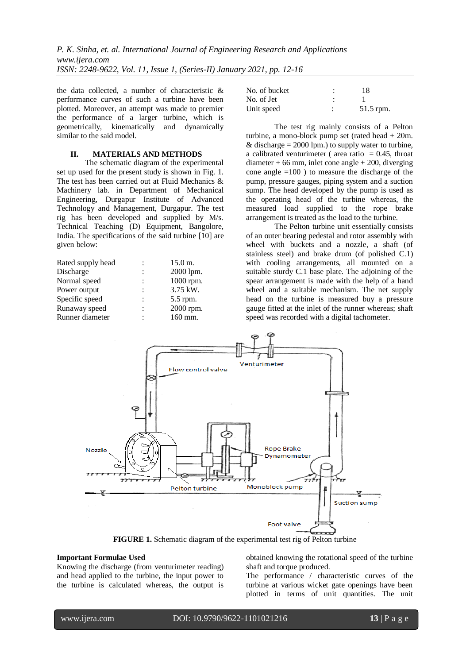the data collected, a number of characteristic & performance curves of such a turbine have been plotted. Moreover, an attempt was made to premier the performance of a larger turbine, which is geometrically, kinematically and dynamically similar to the said model.

# **II. MATERIALS AND METHODS**

The schematic diagram of the experimental set up used for the present study is shown in Fig. 1. The test has been carried out at Fluid Mechanics & Machinery lab. in Department of Mechanical Engineering, Durgapur Institute of Advanced Technology and Management, Durgapur. The test rig has been developed and supplied by M/s. Technical Teaching (D) Equipment, Bangolore, India. The specifications of the said turbine [10] are given below:

| Rated supply head |                | $15.0 \text{ m}$ . |
|-------------------|----------------|--------------------|
| Discharge         |                | 2000 lpm.          |
| Normal speed      |                | 1000 rpm.          |
| Power output      | $\ddot{\cdot}$ | 3.75 kW.           |
| Specific speed    | ٠              | 5.5 rpm.           |
| Runaway speed     | ٠              | 2000 rpm.          |
| Runner diameter   |                | 160 mm.            |
|                   |                |                    |

| No. of bucket | 18        |
|---------------|-----------|
| No. of Jet    |           |
| Unit speed    | 51.5 rpm. |

The test rig mainly consists of a Pelton turbine, a mono-block pump set (rated head + 20m. & discharge  $= 2000$  lpm.) to supply water to turbine, a calibrated venturimeter ( area ratio  $= 0.45$ , throat  $diameter + 66$  mm, inlet cone angle  $+ 200$ , diverging cone angle  $=100$ ) to measure the discharge of the pump, pressure gauges, piping system and a suction sump. The head developed by the pump is used as the operating head of the turbine whereas, the measured load supplied to the rope brake arrangement is treated as the load to the turbine.

The Pelton turbine unit essentially consists of an outer bearing pedestal and rotor assembly with wheel with buckets and a nozzle, a shaft (of stainless steel) and brake drum (of polished C.1) with cooling arrangements, all mounted on a suitable sturdy C.1 base plate. The adjoining of the spear arrangement is made with the help of a hand wheel and a suitable mechanism. The net supply head on the turbine is measured buy a pressure gauge fitted at the inlet of the runner whereas; shaft speed was recorded with a digital tachometer.



**FIGURE 1.** Schematic diagram of the experimental test rig of Pelton turbine

### **Important Formulae Used**

Knowing the discharge (from venturimeter reading) and head applied to the turbine, the input power to the turbine is calculated whereas, the output is

obtained knowing the rotational speed of the turbine shaft and torque produced.

The performance / characteristic curves of the turbine at various wicket gate openings have been plotted in terms of unit quantities. The unit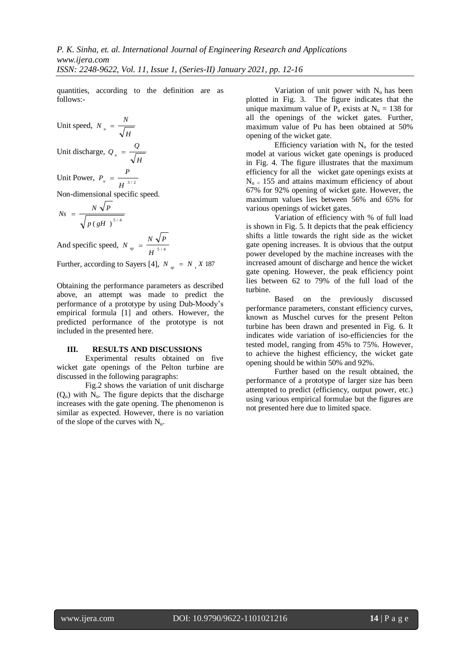quantities, according to the definition are as follows:-

Unit speed, 
$$
N_u = \frac{N}{\sqrt{H}}
$$

Unit discharge, 
$$
Q_u = \frac{Q}{\sqrt{H}}
$$

Unit Power,  $P_u = \frac{1}{H^{3/2}}$  $P_u = \frac{P}{I}$ 

Non-dimensional specific speed.

$$
Ns = \frac{N\sqrt{P}}{\sqrt{p(gH)^{5/4}}}
$$

And specific speed,  $N_{sp} = \frac{1}{H^{5/4}}$  $N_{sp} = \frac{N \sqrt{P}}{I}$ 

Further, according to Sayers [4],  $N_{sp} = N_{s} X 187$ 

Obtaining the performance parameters as described above, an attempt was made to predict the performance of a prototype by using Dub-Moody's empirical formula [1] and others. However, the predicted performance of the prototype is not included in the presented here.

### **III. RESULTS AND DISCUSSIONS**

Experimental results obtained on five wicket gate openings of the Pelton turbine are discussed in the following paragraphs:

Fig.2 shows the variation of unit discharge  $(Q<sub>u</sub>)$  with  $N<sub>u</sub>$ . The figure depicts that the discharge increases with the gate opening. The phenomenon is similar as expected. However, there is no variation of the slope of the curves with  $N_{\text{u}}$ .

Variation of unit power with  $N_u$  has been plotted in Fig. 3. The figure indicates that the unique maximum value of  $P_u$  exists at  $N_u = 138$  for all the openings of the wicket gates. Further, maximum value of Pu has been obtained at 50% opening of the wicket gate.

Efficiency variation with  $N_{\text{u}}$  for the tested model at various wicket gate openings is produced in Fig. 4. The figure illustrates that the maximum efficiency for all the wicket gate openings exists at  $N_{\text{u}} = 155$  and attains maximum efficiency of about 67% for 92% opening of wicket gate. However, the maximum values lies between 56% and 65% for various openings of wicket gates.

Variation of efficiency with % of full load is shown in Fig. 5. It depicts that the peak efficiency shifts a little towards the right side as the wicket gate opening increases. It is obvious that the output power developed by the machine increases with the increased amount of discharge and hence the wicket gate opening. However, the peak efficiency point lies between 62 to 79% of the full load of the turbine.

Based on the previously discussed performance parameters, constant efficiency curves, known as Muschel curves for the present Pelton turbine has been drawn and presented in Fig. 6. It indicates wide variation of iso-efficiencies for the tested model, ranging from 45% to 75%. However, to achieve the highest efficiency, the wicket gate opening should be within 50% and 92%.

Further based on the result obtained, the performance of a prototype of larger size has been attempted to predict (efficiency, output power, etc.) using various empirical formulae but the figures are not presented here due to limited space.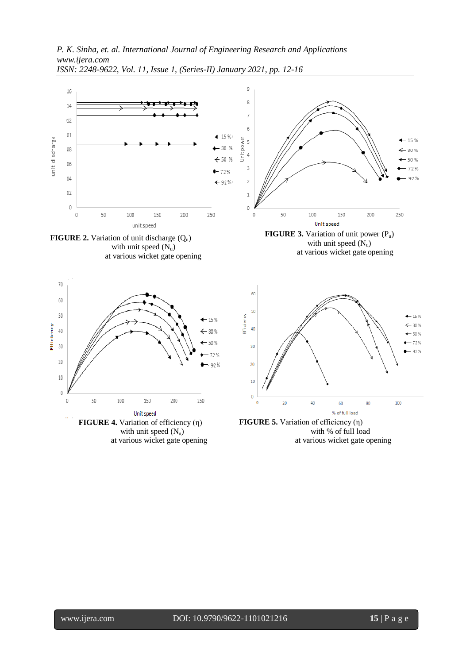

*ISSN: 2248-9622, Vol. 11, Issue 1, (Series-II) January 2021, pp. 12-16*